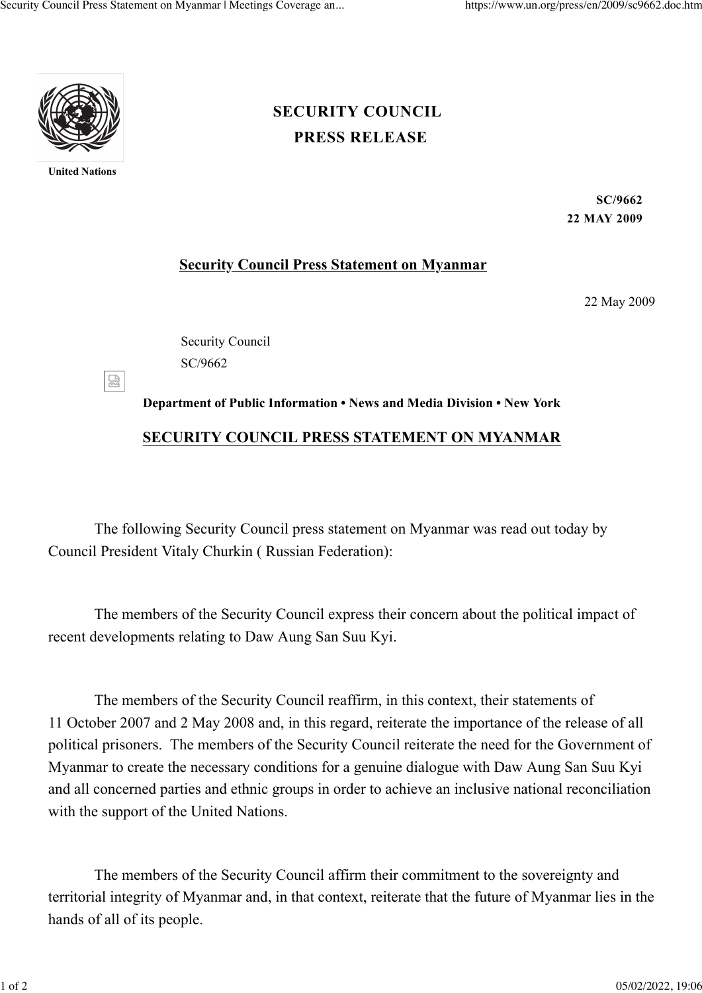

**United Nations**

## **[PRESS RELEASE](https://www.un.org/press/en/press-release) [SECURITY COUNCIL](https://www.un.org/press/en/security-council)**

**SC/9662 22 MAY 2009**

## **Security Council Press Statement on Myanmar**

22 May 2009

Security Council SC/9662

忍

## **Department of Public Information • News and Media Division • New York SECURITY COUNCIL PRESS STATEMENT ON MYANMAR**

The following Security Council press statement on Myanmar was read out today by Council President Vitaly Churkin ( Russian Federation):

The members of the Security Council express their concern about the political impact of recent developments relating to Daw Aung San Suu Kyi.

The members of the Security Council reaffirm, in this context, their statements of 11 October 2007 and 2 May 2008 and, in this regard, reiterate the importance of the release of all political prisoners. The members of the Security Council reiterate the need for the Government of Myanmar to create the necessary conditions for a genuine dialogue with Daw Aung San Suu Kyi and all concerned parties and ethnic groups in order to achieve an inclusive national reconciliation with the support of the United Nations.

The members of the Security Council affirm their commitment to the sovereignty and territorial integrity of Myanmar and, in that context, reiterate that the future of Myanmar lies in the hands of all of its people.